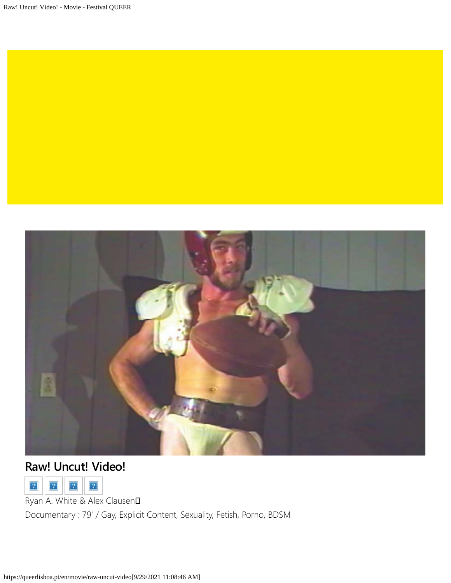

## **Raw! Uncut! Video!**



Ryan A. White & Alex Clausen**D** 

Documentary : 79' / Gay, Explicit Content, Sexuality, Fetish, Porno, BDSM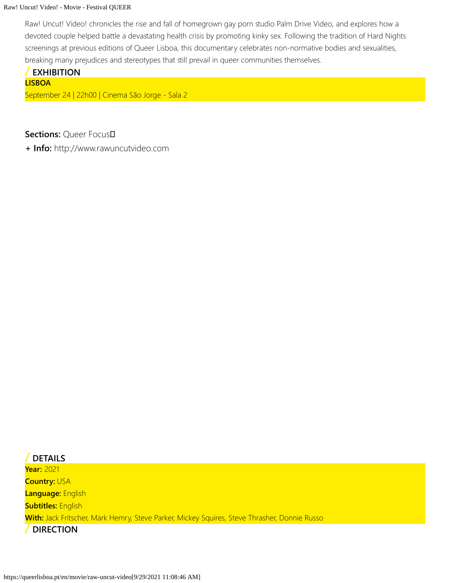## Raw! Uncut! Video! - Movie - Festival QUEER

Raw! Uncut! Video! chronicles the rise and fall of homegrown gay porn sudio Palm Drive Video, and explores how a devoted couple helped battle a devastating health crisis by promoting kinky sex. Following the tradition of Hard Nights screenings at previous editions of Queer Lisboa, this documentary celebrates non-normative bodies and sexualities, breaking many prejudices and stereotypes that still prevail in queer communities themselves.

## **/ EXHIBITION LISBOA** September 24 | 22h00 | Cinema São Jorge - Sala 2

**Sections: Oueer FocusD** 

**+ Info:** [http://www.rawuncutvideo.com](http://www.rawuncutvideo.com/)

**/ DETAILS Year:** 2021 **Country:** USA **Language:** English **Subtitles:** English **With:** Jack Fritscher, Mark Hemry, Steve Parker, Mickey Squires, Steve Thrasher, Donnie Russo **/ DIRECTION**